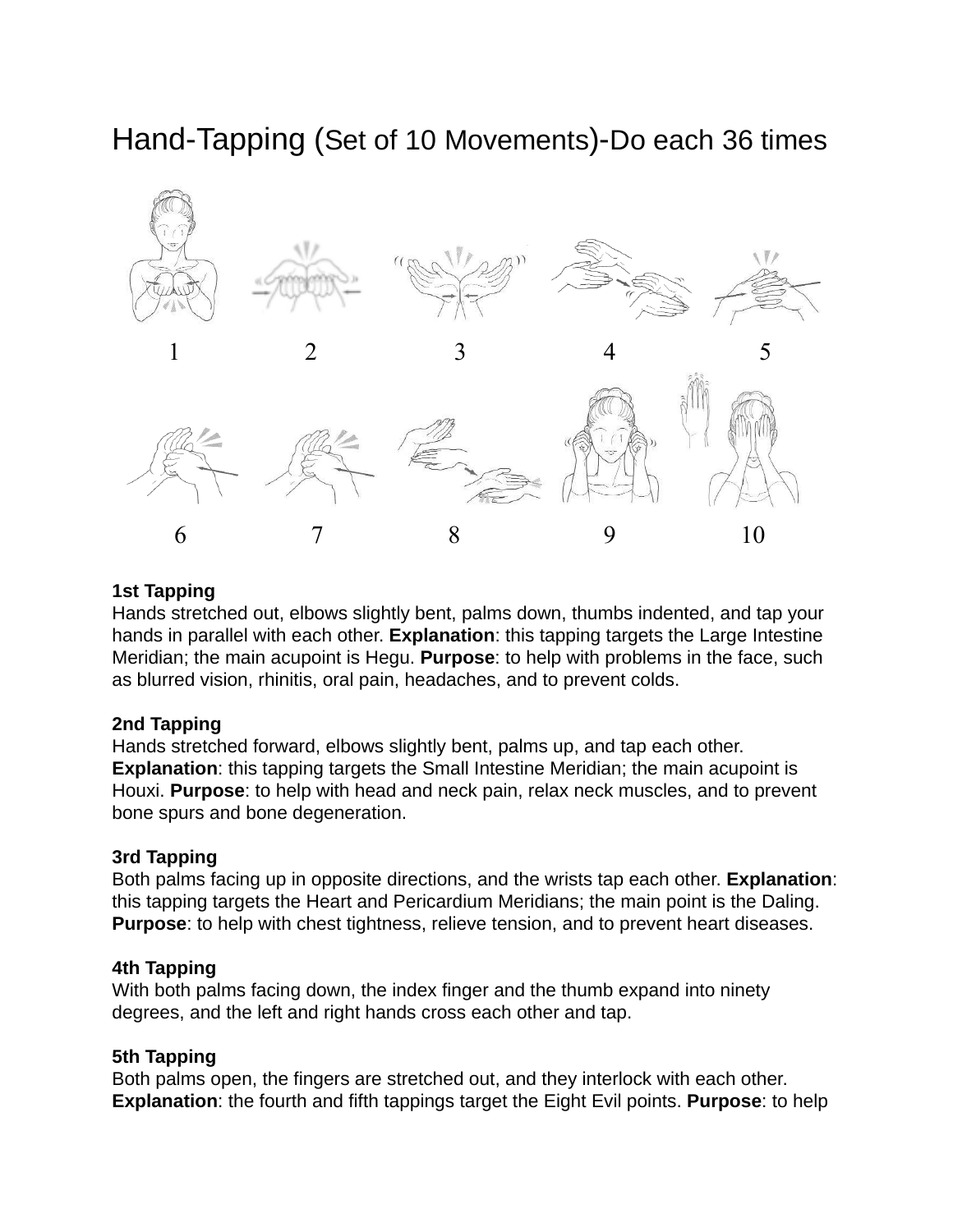# Hand-Tapping (Set of 10 Movements)-Do each 36 times



#### **1st Tapping**

Hands stretched out, elbows slightly bent, palms down, thumbs indented, and tap your hands in parallel with each other. **Explanation**: this tapping targets the Large Intestine Meridian; the main acupoint is Hegu. **Purpose**: to help with problems in the face, such as blurred vision, rhinitis, oral pain, headaches, and to prevent colds.

#### **2nd Tapping**

Hands stretched forward, elbows slightly bent, palms up, and tap each other. **Explanation**: this tapping targets the Small Intestine Meridian; the main acupoint is Houxi. **Purpose**: to help with head and neck pain, relax neck muscles, and to prevent bone spurs and bone degeneration.

# **3rd Tapping**

Both palms facing up in opposite directions, and the wrists tap each other. **Explanation**: this tapping targets the Heart and Pericardium Meridians; the main point is the Daling. **Purpose**: to help with chest tightness, relieve tension, and to prevent heart diseases.

# **4th Tapping**

With both palms facing down, the index finger and the thumb expand into ninety degrees, and the left and right hands cross each other and tap.

# **5th Tapping**

Both palms open, the fingers are stretched out, and they interlock with each other. **Explanation**: the fourth and fifth tappings target the Eight Evil points. **Purpose**: to help